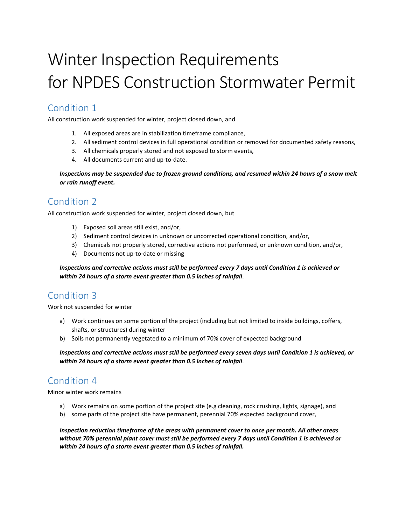# Winter Inspection Requirements for NPDES Construction Stormwater Permit

### Condition 1

All construction work suspended for winter, project closed down, and

- 1. All exposed areas are in stabilization timeframe compliance,
- 2. All sediment control devices in full operational condition or removed for documented safety reasons,
- 3. All chemicals properly stored and not exposed to storm events,
- 4. All documents current and up-to-date.

*Inspections may be suspended due to frozen ground conditions, and resumed within 24 hours of a snow melt or rain runoff event.*

#### Condition 2

All construction work suspended for winter, project closed down, but

- 1) Exposed soil areas still exist, and/or,
- 2) Sediment control devices in unknown or uncorrected operational condition, and/or,
- 3) Chemicals not properly stored, corrective actions not performed, or unknown condition, and/or,
- 4) Documents not up-to-date or missing

*Inspections and corrective actions must still be performed every 7 days until Condition 1 is achieved or within 24 hours of a storm event greater than 0.5 inches of rainfall*.

#### Condition 3

Work not suspended for winter

- a) Work continues on some portion of the project (including but not limited to inside buildings, coffers, shafts, or structures) during winter
- b) Soils not permanently vegetated to a minimum of 70% cover of expected background

*Inspections and corrective actions must still be performed every seven days until Condition 1 is achieved, or within 24 hours of a storm event greater than 0.5 inches of rainfall*.

## Condition 4

Minor winter work remains

- a) Work remains on some portion of the project site (e.g cleaning, rock crushing, lights, signage), and
- b) some parts of the project site have permanent, perennial 70% expected background cover,

*Inspection reduction timeframe of the areas with permanent cover to once per month. All other areas without 70% perennial plant cover must still be performed every 7 days until Condition 1 is achieved or within 24 hours of a storm event greater than 0.5 inches of rainfall.*